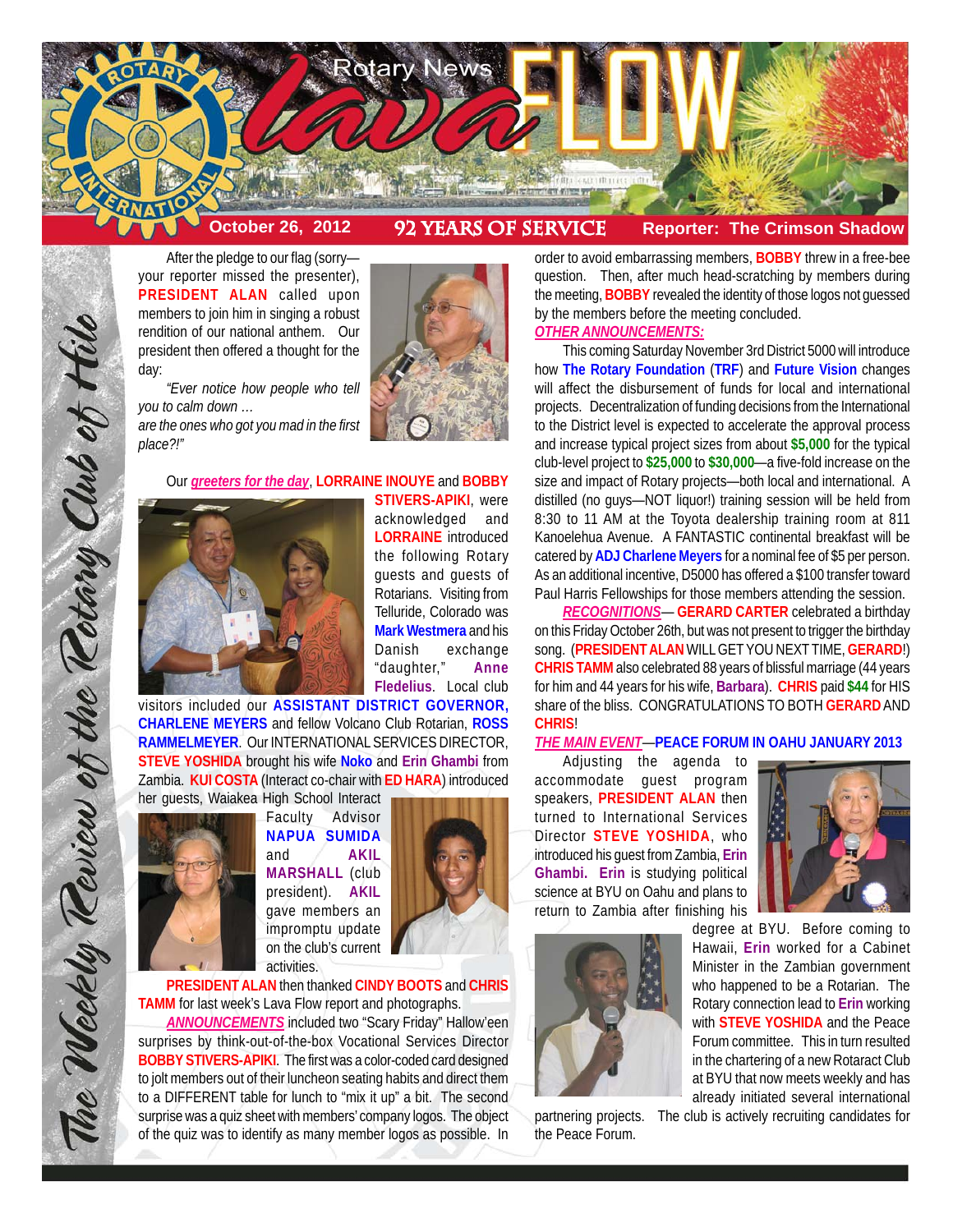

After the pledge to our flag (sorry your reporter missed the presenter), **PRESIDENT ALAN** called upon members to join him in singing a robust rendition of our national anthem. Our president then offered a thought for the day:

*"Ever notice how people who tell you to calm down … are the ones who got you mad in the first place?!"*



# Our *greeters for the day*, **LORRAINE INOUYE** and **BOBBY**



**STIVERS-APIKI**, were acknowledged and **LORRAINE** introduced the following Rotary guests and guests of Rotarians. Visiting from Telluride, Colorado was **Mark Westmera** and his Danish exchange "daughter," **Anne Fledelius**. Local club

visitors included our **ASSISTANT DISTRICT GOVERNOR, CHARLENE MEYERS** and fellow Volcano Club Rotarian, **ROSS RAMMELMEYER**. Our INTERNATIONAL SERVICES DIRECTOR, **STEVE YOSHIDA** brought his wife **Noko** and **Erin Ghambi** from Zambia. **KUI COSTA** (Interact co-chair with **ED HARA**) introduced



The Weekly Review of the Rotary Club of Hill

Faculty Advisor **NAPUA SUMIDA** and **AKIL MARSHALL** (club president). **AKIL** gave members an impromptu update on the club's current activities.



**PRESIDENT ALAN** then thanked **CINDY BOOTS** and **CHRIS TAMM** for last week's Lava Flow report and photographs.

*ANNOUNCEMENTS* included two "Scary Friday" Hallow'een surprises by think-out-of-the-box Vocational Services Director **BOBBY STIVERS-APIKI**. The first was a color-coded card designed to jolt members out of their luncheon seating habits and direct them to a DIFFERENT table for lunch to "mix it up" a bit. The second surprise was a quiz sheet with members' company logos. The object of the quiz was to identify as many member logos as possible. In

order to avoid embarrassing members, **BOBBY** threw in a free-bee question. Then, after much head-scratching by members during the meeting, **BOBBY** revealed the identity of those logos not guessed by the members before the meeting concluded.

# *OTHER ANNOUNCEMENTS:*

This coming Saturday November 3rd District 5000 will introduce how **The Rotary Foundation** (**TRF**) and **Future Vision** changes will affect the disbursement of funds for local and international projects. Decentralization of funding decisions from the International to the District level is expected to accelerate the approval process and increase typical project sizes from about **\$5,000** for the typical club-level project to **\$25,000** to **\$30,000**—a five-fold increase on the size and impact of Rotary projects—both local and international. A distilled (no guys—NOT liquor!) training session will be held from 8:30 to 11 AM at the Toyota dealership training room at 811 Kanoelehua Avenue. A FANTASTIC continental breakfast will be catered by **ADJ Charlene Meyers** for a nominal fee of \$5 per person. As an additional incentive, D5000 has offered a \$100 transfer toward Paul Harris Fellowships for those members attending the session.

*RECOGNITIONS*— **GERARD CARTER** celebrated a birthday on this Friday October 26th, but was not present to trigger the birthday song. (**PRESIDENT ALAN** WILL GET YOU NEXT TIME, **GERARD**!) **CHRIS TAMM** also celebrated 88 years of blissful marriage (44 years for him and 44 years for his wife, **Barbara**). **CHRIS** paid **\$44** for HIS share of the bliss. CONGRATULATIONS TO BOTH **GERARD** AND **CHRIS**!

### *THE MAIN EVENT*—**PEACE FORUM IN OAHU JANUARY 2013**

Adjusting the agenda to accommodate guest program speakers, **PRESIDENT ALAN** then turned to International Services Director **STEVE YOSHIDA**, who introduced his guest from Zambia, **Erin Ghambi. Erin** is studying political science at BYU on Oahu and plans to return to Zambia after finishing his



the Peace Forum.

degree at BYU. Before coming to Hawaii, **Erin** worked for a Cabinet Minister in the Zambian government who happened to be a Rotarian. The Rotary connection lead to **Erin** working with **STEVE YOSHIDA** and the Peace Forum committee. This in turn resulted in the chartering of a new Rotaract Club at BYU that now meets weekly and has already initiated several international

partnering projects. The club is actively recruiting candidates for